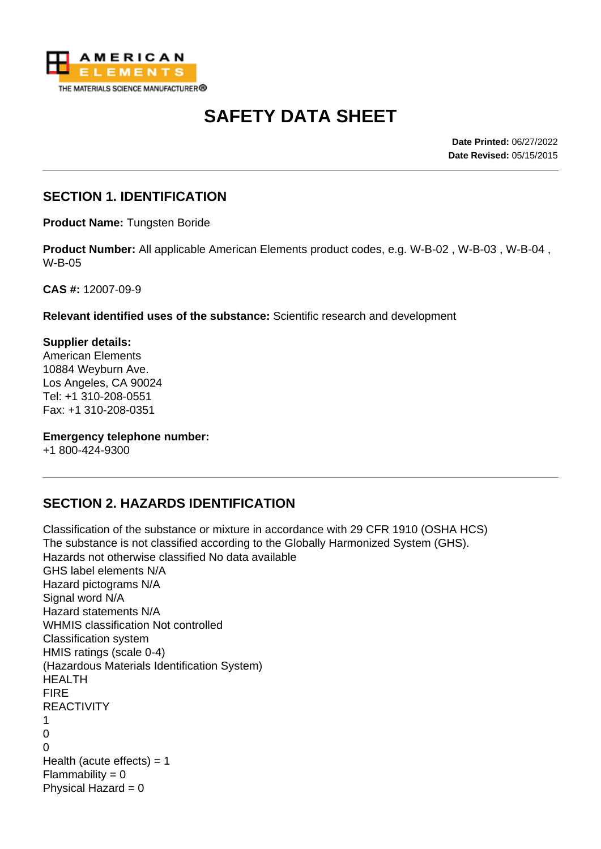

# **SAFETY DATA SHEET**

**Date Printed:** 06/27/2022 **Date Revised:** 05/15/2015

# **SECTION 1. IDENTIFICATION**

**Product Name:** Tungsten Boride

**Product Number:** All applicable American Elements product codes, e.g. W-B-02 , W-B-03 , W-B-04 , W-B-05

**CAS #:** 12007-09-9

**Relevant identified uses of the substance:** Scientific research and development

**Supplier details:** American Elements 10884 Weyburn Ave. Los Angeles, CA 90024 Tel: +1 310-208-0551 Fax: +1 310-208-0351

**Emergency telephone number:**

+1 800-424-9300

# **SECTION 2. HAZARDS IDENTIFICATION**

Classification of the substance or mixture in accordance with 29 CFR 1910 (OSHA HCS) The substance is not classified according to the Globally Harmonized System (GHS). Hazards not otherwise classified No data available GHS label elements N/A Hazard pictograms N/A Signal word N/A Hazard statements N/A WHMIS classification Not controlled Classification system HMIS ratings (scale 0-4) (Hazardous Materials Identification System) HEALTH FIRE REACTIVITY 1  $\Omega$  $\Omega$ Health (acute effects)  $= 1$  $Flammability = 0$ Physical Hazard  $= 0$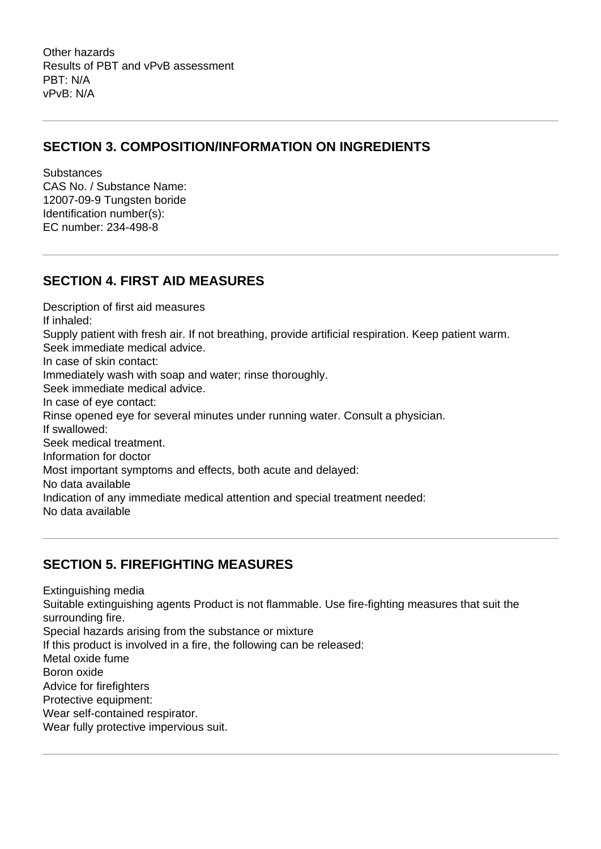Other hazards Results of PBT and vPvB assessment PBT: N/A vPvB: N/A

# **SECTION 3. COMPOSITION/INFORMATION ON INGREDIENTS**

**Substances** CAS No. / Substance Name: 12007-09-9 Tungsten boride Identification number(s): EC number: 234-498-8

# **SECTION 4. FIRST AID MEASURES**

Description of first aid measures If inhaled: Supply patient with fresh air. If not breathing, provide artificial respiration. Keep patient warm. Seek immediate medical advice. In case of skin contact: Immediately wash with soap and water; rinse thoroughly. Seek immediate medical advice. In case of eye contact: Rinse opened eye for several minutes under running water. Consult a physician. If swallowed: Seek medical treatment. Information for doctor Most important symptoms and effects, both acute and delayed: No data available Indication of any immediate medical attention and special treatment needed: No data available

# **SECTION 5. FIREFIGHTING MEASURES**

Extinguishing media Suitable extinguishing agents Product is not flammable. Use fire-fighting measures that suit the surrounding fire. Special hazards arising from the substance or mixture If this product is involved in a fire, the following can be released: Metal oxide fume Boron oxide Advice for firefighters Protective equipment: Wear self-contained respirator. Wear fully protective impervious suit.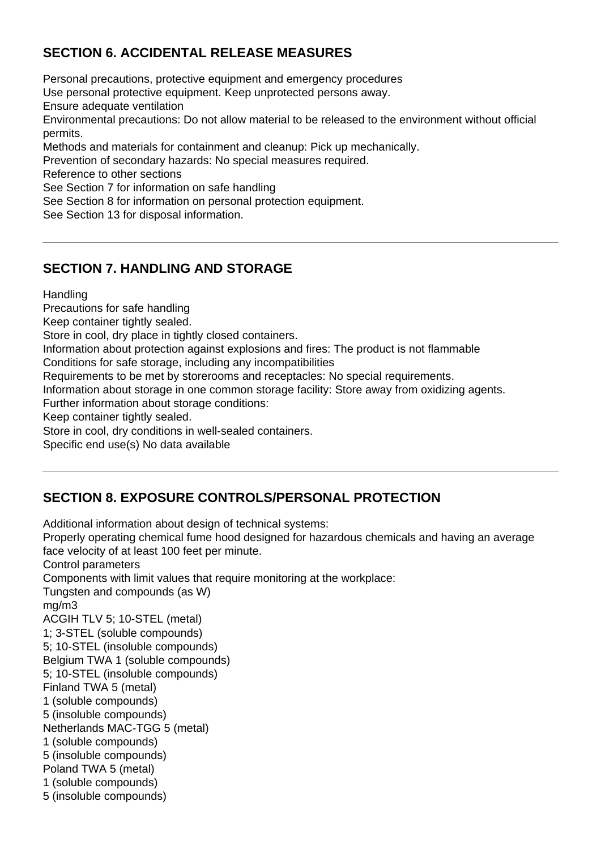# **SECTION 6. ACCIDENTAL RELEASE MEASURES**

Personal precautions, protective equipment and emergency procedures Use personal protective equipment. Keep unprotected persons away. Ensure adequate ventilation Environmental precautions: Do not allow material to be released to the environment without official permits. Methods and materials for containment and cleanup: Pick up mechanically. Prevention of secondary hazards: No special measures required. Reference to other sections See Section 7 for information on safe handling See Section 8 for information on personal protection equipment. See Section 13 for disposal information.

# **SECTION 7. HANDLING AND STORAGE**

**Handling** 

Precautions for safe handling

Keep container tightly sealed.

Store in cool, dry place in tightly closed containers.

Information about protection against explosions and fires: The product is not flammable

Conditions for safe storage, including any incompatibilities

Requirements to be met by storerooms and receptacles: No special requirements.

Information about storage in one common storage facility: Store away from oxidizing agents.

Further information about storage conditions:

Keep container tightly sealed.

Store in cool, dry conditions in well-sealed containers.

Specific end use(s) No data available

# **SECTION 8. EXPOSURE CONTROLS/PERSONAL PROTECTION**

Additional information about design of technical systems: Properly operating chemical fume hood designed for hazardous chemicals and having an average face velocity of at least 100 feet per minute. Control parameters Components with limit values that require monitoring at the workplace: Tungsten and compounds (as W) mg/m3 ACGIH TLV 5; 10-STEL (metal) 1; 3-STEL (soluble compounds) 5; 10-STEL (insoluble compounds) Belgium TWA 1 (soluble compounds) 5; 10-STEL (insoluble compounds) Finland TWA 5 (metal) 1 (soluble compounds) 5 (insoluble compounds) Netherlands MAC-TGG 5 (metal) 1 (soluble compounds) 5 (insoluble compounds) Poland TWA 5 (metal) 1 (soluble compounds) 5 (insoluble compounds)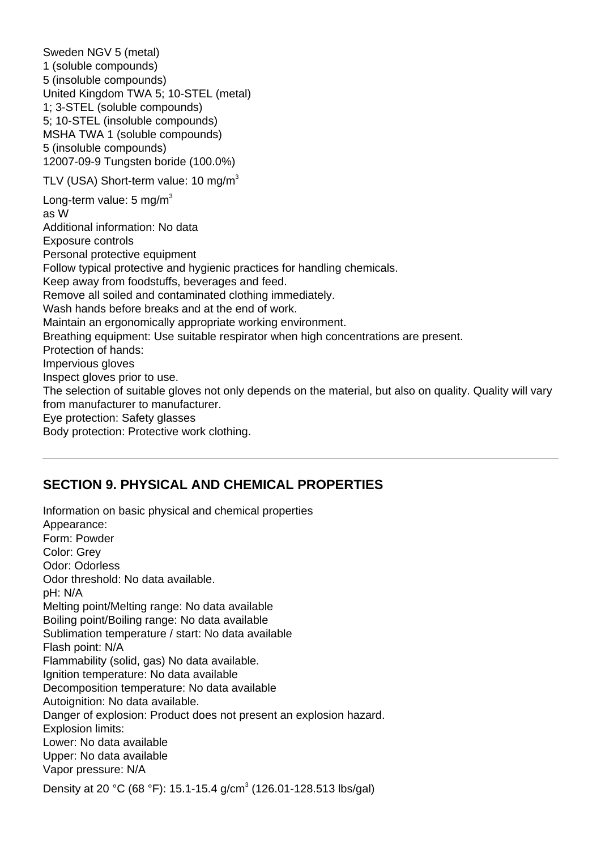Sweden NGV 5 (metal) 1 (soluble compounds) 5 (insoluble compounds) United Kingdom TWA 5; 10-STEL (metal) 1; 3-STEL (soluble compounds) 5; 10-STEL (insoluble compounds) MSHA TWA 1 (soluble compounds) 5 (insoluble compounds) 12007-09-9 Tungsten boride (100.0%) TLV (USA) Short-term value:  $10 \text{ ma/m}^3$ Long-term value:  $5 \text{ mg/m}^3$ as W Additional information: No data Exposure controls Personal protective equipment Follow typical protective and hygienic practices for handling chemicals. Keep away from foodstuffs, beverages and feed. Remove all soiled and contaminated clothing immediately. Wash hands before breaks and at the end of work. Maintain an ergonomically appropriate working environment. Breathing equipment: Use suitable respirator when high concentrations are present. Protection of hands: Impervious gloves Inspect gloves prior to use. The selection of suitable gloves not only depends on the material, but also on quality. Quality will vary from manufacturer to manufacturer. Eye protection: Safety glasses Body protection: Protective work clothing.

#### **SECTION 9. PHYSICAL AND CHEMICAL PROPERTIES**

Information on basic physical and chemical properties Appearance: Form: Powder Color: Grey Odor: Odorless Odor threshold: No data available. pH: N/A Melting point/Melting range: No data available Boiling point/Boiling range: No data available Sublimation temperature / start: No data available Flash point: N/A Flammability (solid, gas) No data available. Ignition temperature: No data available Decomposition temperature: No data available Autoignition: No data available. Danger of explosion: Product does not present an explosion hazard. Explosion limits: Lower: No data available Upper: No data available Vapor pressure: N/A Density at 20 °C (68 °F): 15.1-15.4 g/cm<sup>3</sup> (126.01-128.513 lbs/gal)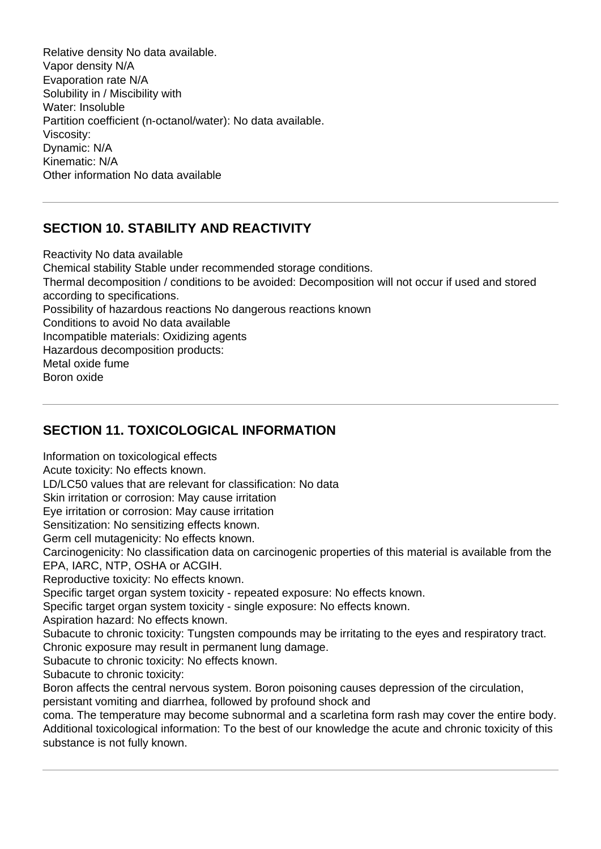Relative density No data available. Vapor density N/A Evaporation rate N/A Solubility in / Miscibility with Water: Insoluble Partition coefficient (n-octanol/water): No data available. Viscosity: Dynamic: N/A Kinematic: N/A Other information No data available

# **SECTION 10. STABILITY AND REACTIVITY**

Reactivity No data available Chemical stability Stable under recommended storage conditions. Thermal decomposition / conditions to be avoided: Decomposition will not occur if used and stored according to specifications. Possibility of hazardous reactions No dangerous reactions known Conditions to avoid No data available Incompatible materials: Oxidizing agents Hazardous decomposition products: Metal oxide fume Boron oxide

# **SECTION 11. TOXICOLOGICAL INFORMATION**

Information on toxicological effects

Acute toxicity: No effects known.

LD/LC50 values that are relevant for classification: No data

Skin irritation or corrosion: May cause irritation

Eye irritation or corrosion: May cause irritation

Sensitization: No sensitizing effects known.

Germ cell mutagenicity: No effects known.

Carcinogenicity: No classification data on carcinogenic properties of this material is available from the EPA, IARC, NTP, OSHA or ACGIH.

Reproductive toxicity: No effects known.

Specific target organ system toxicity - repeated exposure: No effects known.

Specific target organ system toxicity - single exposure: No effects known.

Aspiration hazard: No effects known.

Subacute to chronic toxicity: Tungsten compounds may be irritating to the eyes and respiratory tract. Chronic exposure may result in permanent lung damage.

Subacute to chronic toxicity: No effects known.

Subacute to chronic toxicity:

Boron affects the central nervous system. Boron poisoning causes depression of the circulation, persistant vomiting and diarrhea, followed by profound shock and

coma. The temperature may become subnormal and a scarletina form rash may cover the entire body. Additional toxicological information: To the best of our knowledge the acute and chronic toxicity of this substance is not fully known.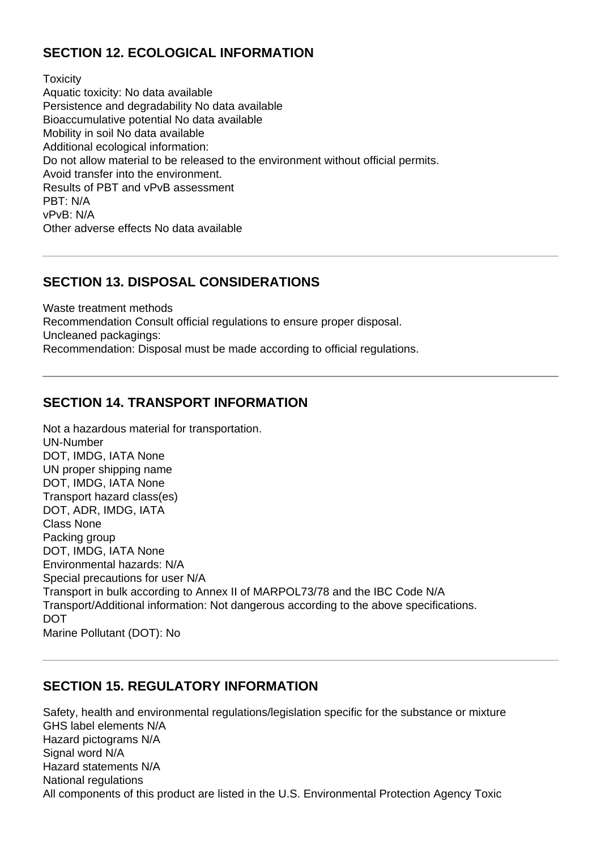# **SECTION 12. ECOLOGICAL INFORMATION**

**Toxicity** Aquatic toxicity: No data available Persistence and degradability No data available Bioaccumulative potential No data available Mobility in soil No data available Additional ecological information: Do not allow material to be released to the environment without official permits. Avoid transfer into the environment. Results of PBT and vPvB assessment PBT: N/A vPvB: N/A Other adverse effects No data available

#### **SECTION 13. DISPOSAL CONSIDERATIONS**

Waste treatment methods Recommendation Consult official regulations to ensure proper disposal. Uncleaned packagings: Recommendation: Disposal must be made according to official regulations.

# **SECTION 14. TRANSPORT INFORMATION**

Not a hazardous material for transportation. UN-Number DOT, IMDG, IATA None UN proper shipping name DOT, IMDG, IATA None Transport hazard class(es) DOT, ADR, IMDG, IATA Class None Packing group DOT, IMDG, IATA None Environmental hazards: N/A Special precautions for user N/A Transport in bulk according to Annex II of MARPOL73/78 and the IBC Code N/A Transport/Additional information: Not dangerous according to the above specifications. DOT Marine Pollutant (DOT): No

# **SECTION 15. REGULATORY INFORMATION**

Safety, health and environmental regulations/legislation specific for the substance or mixture GHS label elements N/A Hazard pictograms N/A Signal word N/A Hazard statements N/A National regulations All components of this product are listed in the U.S. Environmental Protection Agency Toxic